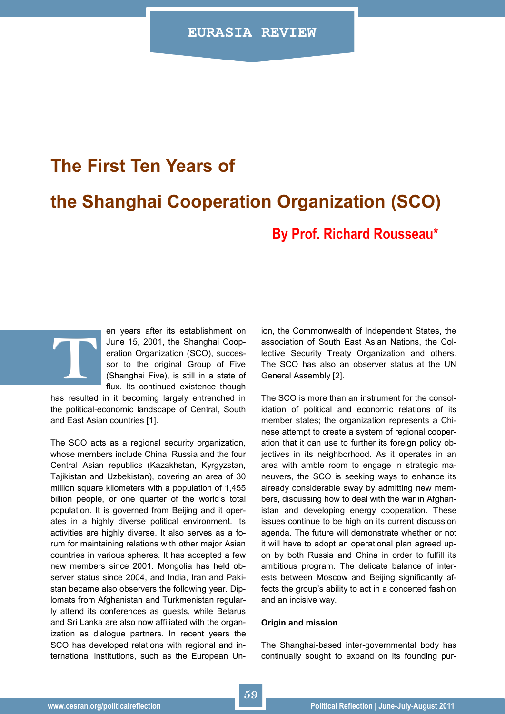# **The First Ten Years of the Shanghai Cooperation Organization (SCO) By Prof. Richard Rousseau\***

en years after its establishment on June 15, 2001, the Shanghai Cooperation Organization (SCO), successor to the original Group of Five (Shanghai Five), is still in a state of flux. Its continued existence though

has resulted in it becoming largely entrenched in the political-economic landscape of Central, South and East Asian countries [1].

**T**

The SCO acts as a regional security organization, whose members include China, Russia and the four Central Asian republics (Kazakhstan, Kyrgyzstan, Tajikistan and Uzbekistan), covering an area of 30 million square kilometers with a population of 1,455 billion people, or one quarter of the world"s total population. It is governed from Beijing and it operates in a highly diverse political environment. Its activities are highly diverse. It also serves as a forum for maintaining relations with other major Asian countries in various spheres. It has accepted a few new members since 2001. Mongolia has held observer status since 2004, and India, Iran and Pakistan became also observers the following year. Diplomats from Afghanistan and Turkmenistan regularly attend its conferences as guests, while Belarus and Sri Lanka are also now affiliated with the organization as dialogue partners. In recent years the SCO has developed relations with regional and international institutions, such as the European Union, the Commonwealth of Independent States, the association of South East Asian Nations, the Collective Security Treaty Organization and others. The SCO has also an observer status at the UN General Assembly [2].

The SCO is more than an instrument for the consolidation of political and economic relations of its member states; the organization represents a Chinese attempt to create a system of regional cooperation that it can use to further its foreign policy objectives in its neighborhood. As it operates in an area with amble room to engage in strategic maneuvers, the SCO is seeking ways to enhance its already considerable sway by admitting new members, discussing how to deal with the war in Afghanistan and developing energy cooperation. These issues continue to be high on its current discussion agenda. The future will demonstrate whether or not it will have to adopt an operational plan agreed upon by both Russia and China in order to fulfill its ambitious program. The delicate balance of interests between Moscow and Beijing significantly affects the group"s ability to act in a concerted fashion and an incisive way.

#### **Origin and mission**

The Shanghai-based inter-governmental body has continually sought to expand on its founding pur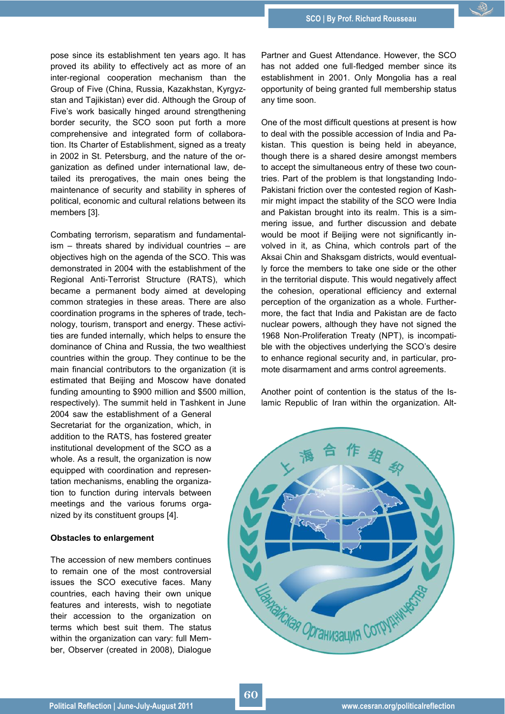pose since its establishment ten years ago. It has proved its ability to effectively act as more of an inter-regional cooperation mechanism than the Group of Five (China, Russia, Kazakhstan, Kyrgyzstan and Tajikistan) ever did. Although the Group of Five"s work basically hinged around strengthening border security, the SCO soon put forth a more comprehensive and integrated form of collaboration. Its Charter of Establishment, signed as a treaty in 2002 in St. Petersburg, and the nature of the organization as defined under international law, detailed its prerogatives, the main ones being the maintenance of security and stability in spheres of political, economic and cultural relations between its members [3].

Combating terrorism, separatism and fundamentalism – threats shared by individual countries – are objectives high on the agenda of the SCO. This was demonstrated in 2004 with the establishment of the Regional Anti-Terrorist Structure (RATS), which became a permanent body aimed at developing common strategies in these areas. There are also coordination programs in the spheres of trade, technology, tourism, transport and energy. These activities are funded internally, which helps to ensure the dominance of China and Russia, the two wealthiest countries within the group. They continue to be the main financial contributors to the organization (it is estimated that Beijing and Moscow have donated funding amounting to \$900 million and \$500 million, respectively). The summit held in Tashkent in June

2004 saw the establishment of a General Secretariat for the organization, which, in addition to the RATS, has fostered greater institutional development of the SCO as a whole. As a result, the organization is now equipped with coordination and representation mechanisms, enabling the organization to function during intervals between meetings and the various forums organized by its constituent groups [4].

# **Obstacles to enlargement**

The accession of new members continues to remain one of the most controversial issues the SCO executive faces. Many countries, each having their own unique features and interests, wish to negotiate their accession to the organization on terms which best suit them. The status within the organization can vary: full Member, Observer (created in 2008), Dialogue

Partner and Guest Attendance. However, the SCO has not added one full-fledged member since its establishment in 2001. Only Mongolia has a real opportunity of being granted full membership status any time soon.

One of the most difficult questions at present is how to deal with the possible accession of India and Pakistan. This question is being held in abeyance, though there is a shared desire amongst members to accept the simultaneous entry of these two countries. Part of the problem is that longstanding Indo-Pakistani friction over the contested region of Kashmir might impact the stability of the SCO were India and Pakistan brought into its realm. This is a simmering issue, and further discussion and debate would be moot if Beijing were not significantly involved in it, as China, which controls part of the Aksai Chin and Shaksgam districts, would eventually force the members to take one side or the other in the territorial dispute. This would negatively affect the cohesion, operational efficiency and external perception of the organization as a whole. Furthermore, the fact that India and Pakistan are de facto nuclear powers, although they have not signed the 1968 Non-Proliferation Treaty (NPT), is incompatible with the objectives underlying the SCO"s desire to enhance regional security and, in particular, promote disarmament and arms control agreements.

Another point of contention is the status of the Islamic Republic of Iran within the organization. Alt-

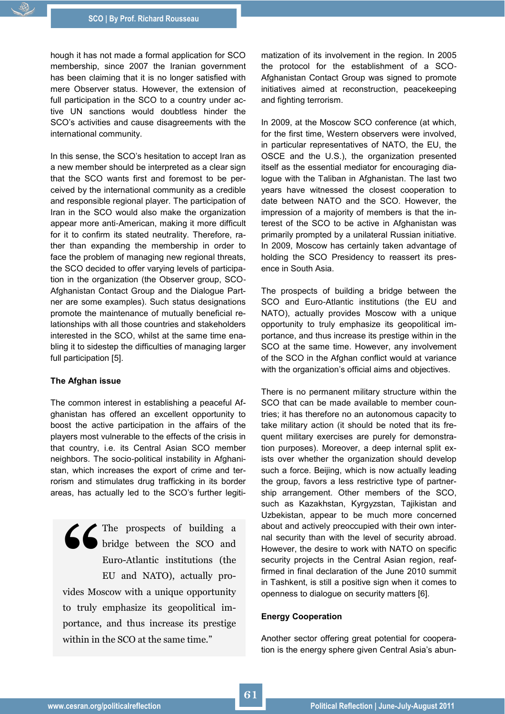hough it has not made a formal application for SCO membership, since 2007 the Iranian government has been claiming that it is no longer satisfied with mere Observer status. However, the extension of full participation in the SCO to a country under active UN sanctions would doubtless hinder the SCO"s activities and cause disagreements with the international community.

In this sense, the SCO"s hesitation to accept Iran as a new member should be interpreted as a clear sign that the SCO wants first and foremost to be perceived by the international community as a credible and responsible regional player. The participation of Iran in the SCO would also make the organization appear more anti-American, making it more difficult for it to confirm its stated neutrality. Therefore, rather than expanding the membership in order to face the problem of managing new regional threats, the SCO decided to offer varying levels of participation in the organization (the Observer group, SCO-Afghanistan Contact Group and the Dialogue Partner are some examples). Such status designations promote the maintenance of mutually beneficial relationships with all those countries and stakeholders interested in the SCO, whilst at the same time enabling it to sidestep the difficulties of managing larger full participation [5].

### **The Afghan issue**

The common interest in establishing a peaceful Afghanistan has offered an excellent opportunity to boost the active participation in the affairs of the players most vulnerable to the effects of the crisis in that country, i.e. its Central Asian SCO member neighbors. The socio-political instability in Afghanistan, which increases the export of crime and terrorism and stimulates drug trafficking in its border areas, has actually led to the SCO"s further legiti-

**S** The prospects of building a bridge between the SCO and Euro-Atlantic institutions (the EU and NATO), actually provides Moscow with a unique opportunity bridge between the SCO and Euro-Atlantic institutions (the EU and NATO), actually provides Moscow with a unique opportunity to truly emphasize its geopolitical importance, and thus increase its prestige within in the SCO at the same time."

matization of its involvement in the region. In 2005 the protocol for the establishment of a SCO-Afghanistan Contact Group was signed to promote initiatives aimed at reconstruction, peacekeeping and fighting terrorism.

In 2009, at the Moscow SCO conference (at which, for the first time, Western observers were involved, in particular representatives of NATO, the EU, the OSCE and the U.S.), the organization presented itself as the essential mediator for encouraging dialogue with the Taliban in Afghanistan. The last two years have witnessed the closest cooperation to date between NATO and the SCO. However, the impression of a majority of members is that the interest of the SCO to be active in Afghanistan was primarily prompted by a unilateral Russian initiative. In 2009, Moscow has certainly taken advantage of holding the SCO Presidency to reassert its presence in South Asia.

The prospects of building a bridge between the SCO and Euro-Atlantic institutions (the EU and NATO), actually provides Moscow with a unique opportunity to truly emphasize its geopolitical importance, and thus increase its prestige within in the SCO at the same time. However, any involvement of the SCO in the Afghan conflict would at variance with the organization's official aims and objectives.

There is no permanent military structure within the SCO that can be made available to member countries; it has therefore no an autonomous capacity to take military action (it should be noted that its frequent military exercises are purely for demonstration purposes). Moreover, a deep internal split exists over whether the organization should develop such a force. Beijing, which is now actually leading the group, favors a less restrictive type of partnership arrangement. Other members of the SCO, such as Kazakhstan, Kyrgyzstan, Tajikistan and Uzbekistan, appear to be much more concerned about and actively preoccupied with their own internal security than with the level of security abroad. However, the desire to work with NATO on specific security projects in the Central Asian region, reaffirmed in final declaration of the June 2010 summit in Tashkent, is still a positive sign when it comes to openness to dialogue on security matters [6].

# **Energy Cooperation**

Another sector offering great potential for cooperation is the energy sphere given Central Asia's abun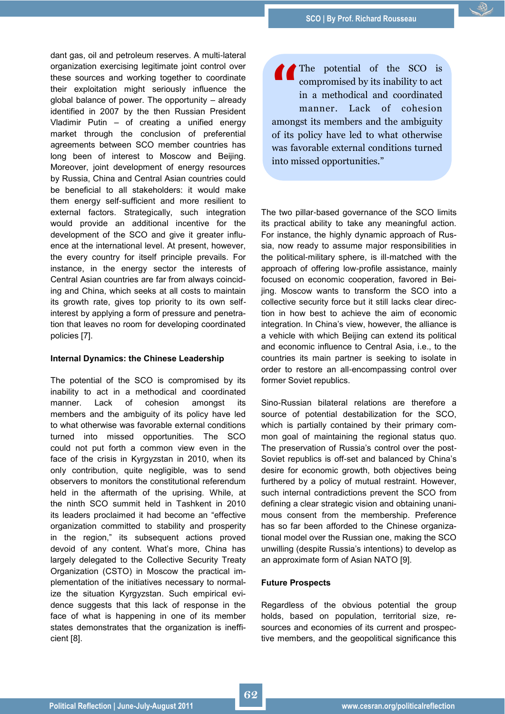dant gas, oil and petroleum reserves. A multi-lateral organization exercising legitimate joint control over these sources and working together to coordinate their exploitation might seriously influence the global balance of power. The opportunity – already identified in 2007 by the then Russian President Vladimir Putin – of creating a unified energy market through the conclusion of preferential agreements between SCO member countries has long been of interest to Moscow and Beijing. Moreover, joint development of energy resources by Russia, China and Central Asian countries could be beneficial to all stakeholders: it would make them energy self-sufficient and more resilient to external factors. Strategically, such integration would provide an additional incentive for the development of the SCO and give it greater influence at the international level. At present, however, the every country for itself principle prevails. For instance, in the energy sector the interests of Central Asian countries are far from always coinciding and China, which seeks at all costs to maintain its growth rate, gives top priority to its own selfinterest by applying a form of pressure and penetration that leaves no room for developing coordinated policies [7].

# **Internal Dynamics: the Chinese Leadership**

The potential of the SCO is compromised by its inability to act in a methodical and coordinated manner. Lack of cohesion amongst its members and the ambiguity of its policy have led to what otherwise was favorable external conditions turned into missed opportunities. The SCO could not put forth a common view even in the face of the crisis in Kyrgyzstan in 2010, when its only contribution, quite negligible, was to send observers to monitors the constitutional referendum held in the aftermath of the uprising. While, at the ninth SCO summit held in Tashkent in 2010 its leaders proclaimed it had become an "effective organization committed to stability and prosperity in the region," its subsequent actions proved devoid of any content. What's more, China has largely delegated to the Collective Security Treaty Organization (CSTO) in Moscow the practical implementation of the initiatives necessary to normalize the situation Kyrgyzstan. Such empirical evidence suggests that this lack of response in the face of what is happening in one of its member states demonstrates that the organization is inefficient [8].

**"** The potential of the SCO is compromised by its inability to act in a methodical and coordinated manner. Lack of cohesion amongst its members and the ambiguity of its policy have led to what otherwise was favorable external conditions turned into missed opportunities."

The two pillar-based governance of the SCO limits its practical ability to take any meaningful action. For instance, the highly dynamic approach of Russia, now ready to assume major responsibilities in the political-military sphere, is ill-matched with the approach of offering low-profile assistance, mainly focused on economic cooperation, favored in Beijing. Moscow wants to transform the SCO into a collective security force but it still lacks clear direction in how best to achieve the aim of economic integration. In China's view, however, the alliance is a vehicle with which Beijing can extend its political and economic influence to Central Asia, i.e., to the countries its main partner is seeking to isolate in order to restore an all-encompassing control over former Soviet republics.

Sino-Russian bilateral relations are therefore a source of potential destabilization for the SCO, which is partially contained by their primary common goal of maintaining the regional status quo. The preservation of Russia"s control over the post-Soviet republics is off-set and balanced by China"s desire for economic growth, both objectives being furthered by a policy of mutual restraint. However, such internal contradictions prevent the SCO from defining a clear strategic vision and obtaining unanimous consent from the membership. Preference has so far been afforded to the Chinese organizational model over the Russian one, making the SCO unwilling (despite Russia"s intentions) to develop as an approximate form of Asian NATO [9].

# **Future Prospects**

Regardless of the obvious potential the group holds, based on population, territorial size, resources and economies of its current and prospective members, and the geopolitical significance this